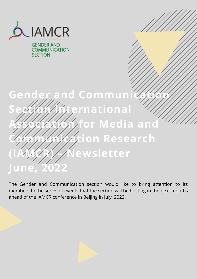

**GENDER AND COMMUNICATION SECTION** 

# Gender and Communication **Sectional Association for Media and Communication Research Mewsletter June, 2022**

The Gender and Communication section would like to bring attention to its members to the series of events that the section will be hosting in the next months ahead of the IAMCR conference in Beijing in July, 2022.

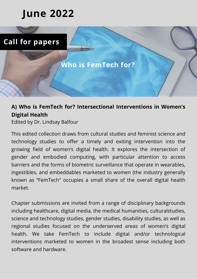# **June 2022**



# **A) Who is FemTech for? Intersectional Interventions in Women's Digital Health**

Edited by Dr. Lindsay Balfour

This edited collection draws from cultural studies and feminist science and technology studies to offer a timely and exiting intervention into the growing field of women's digital health. It explores the intersection of gender and embodied computing, with particular attention to access barriers and the forms of biometric surveillance that operate in wearables, ingestibles, and embeddables marketed to women (the industry generally known as "FemTech" occupies a small share of the overall digital health market.

Chapter submissions are invited from a range of disciplinary backgrounds including healthcare, digital media, the medical humanities, culturalstudies, science and technology studies, gender studies, disability studies, as well as regional studies focused on the underserved areas of women's digital health. We take FemTech to include digital and/or technological interventions marketed to women in the broadest sense including both software and hardware.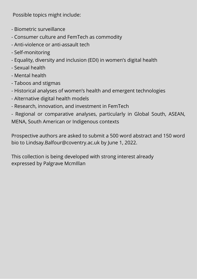Possible topics might include:

- Biometric surveillance
- Consumer culture and FemTech as commodity
- Anti-violence or anti-assault tech
- Self-monitoring
- Equality, diversity and inclusion (EDI) in women's digital health
- Sexual health
- Mental health
- Taboos and stigmas
- Historical analyses of women's health and emergent technologies
- Alternative digital health models
- Research, innovation, and investment in FemTech

- Regional or comparative analyses, particularly in Global South, ASEAN, MENA, South American or Indigenous contexts

Prospective authors are asked to submit a 500 word abstract and 150 word bio to Lindsay.Balfour@coventry.ac.uk by June 1, 2022.

This collection is being developed with strong interest already expressed by Palgrave McmIllan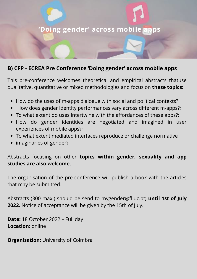

# **B) CFP - ECREA Pre Conference 'Doing gender' across mobile apps**

This pre-conference welcomes theoretical and empirical abstracts thatuse qualitative, quantitative or mixed methodologies and focus on **these topics:**

- How do the uses of m-apps dialogue with social and political contexts?
- How does gender identity performances vary across different m-apps?;
- To what extent do uses intertwine with the affordances of these apps?;
- How do gender identities are negotiated and imagined in user experiences of mobile apps?;
- To what extent mediated interfaces reproduce or challenge normative
- imaginaries of gender?

Abstracts focusing on other **topics within gender, sexuality and app studies are also welcome.**

The organisation of the pre-conference will publish a book with the articles that may be submitted.

Abstracts (300 max.) should be send to mygender@fl.uc.pt; **until 1st of July 2022.** Notice of acceptance will be given by the 15th of July.

**Date:** 18 October 2022 – Full day **Location:** online

**Organisation: University of Coimbra**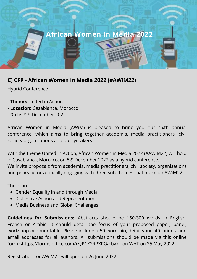# **African Women in Media 2022**

# **C) CFP - African Women in Media 2022 (#AWiM22)**

Hybrid Conference

- **Theme:** United in Action
- **Location:** Casablanca, Morocco
- **Date:** 8-9 December 2022

African Women in Media (AWiM) is pleased to bring you our sixth annual conference, which aims to bring together academia, media practitioners, civil society organisations and policymakers.

With the theme United in Action, African Women in Media 2022 (#AWiM22) will hold in Casablanca, Morocco, on 8-9 December 2022 as a hybrid conference. We invite proposals from academia, media practitioners, civil society, organisations and policy actors critically engaging with three sub-themes that make up AWiM22.

These are:

- Gender Equality in and through Media
- Collective Action and Representation
- Media Business and Global Challenges

**Guidelines for Submissions:** Abstracts should be 150-300 words in English, French or Arabic. It should detail the focus of your proposed paper, panel, workshop or roundtable. Please include a 50-word bio, detail your affiliations, and email addresses for all authors. All submissions should be made via this online form [<https://forms.office.com/r/yP1K2RPXPG>](https://forms.office.com/r/yP1K2RPXPG) by noon WAT on 25 May 2022.

Registration for AWiM22 will open on 26 June 2022.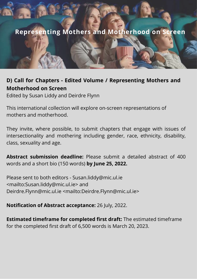# **Representing Mothers and Motherhood on Screen**

#### **D) Call for Chapters - Edited Volume / Representing Mothers and Motherhood on Screen**

Edited by Susan Liddy and Deirdre Flynn

This international collection will explore on-screen representations of mothers and motherhood.

They invite, where possible, to submit chapters that engage with issues of intersectionality and mothering including gender, race, ethnicity, disability, class, sexuality and age.

**Abstract submission deadline:** Please submit a detailed abstract of 400 words and a short bio (150 words) **by June 25, 2022.**

Please sent to both editors - [Susan.liddy@mic.ul.ie](mailto:Susan.liddy@mic.ul.ie) <mailto:[Susan.liddy@mic.ul.ie](mailto:Susan.liddy@mic.ul.ie)> and [Deirdre.Flynn@mic.ul.ie](mailto:Deirdre.Flynn@mic.ul.ie) <mailto[:Deirdre.Flynn@mic.ul.ie](mailto:Deirdre.Flynn@mic.ul.ie)>

#### **Notification of Abstract acceptance:** 26 July, 2022.

**Estimated timeframe for completed first draft:** The estimated timeframe for the completed first draft of 6,500 words is March 20, 2023.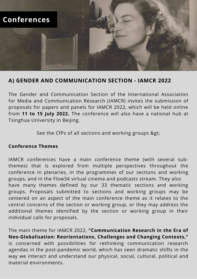

#### **A) GENDER AND COMMUNICATION SECTION - IAMCR 2022**

The Gender and Communication Section of the International Association for Media and Communication Research (IAMCR) invites the submission of proposals for papers and panels for IAMCR 2022, which will be held online from **11 to 15 July 2022.** The conference will also have a national hub at Tsinghua University in Beijing.

See the CfPs of all sections and working groups >

#### **Conference Themes**

IAMCR conferences have a main conference theme (with several subthemes) that is explored from multiple perspectives throughout the conference in plenaries, in the programmes of our sections and working groups, and in the Flow34 virtual cinema and podcasts stream. They also have many themes defined by our 33 thematic sections and working groups. Proposals submitted to sections and working groups may be centered on an aspect of the main conference theme as it relates to the central concerns of the section or working group, or they may address the additional themes identified by the section or working group in their individual calls for proposals.

The main theme for IAMCR 2022, **"Communication Research in the Era of Neo-Globalisation: Reorientations, Challenges and Changing Contexts,"** is concerned with possibilities for rethinking communication research agendas in the post-pandemic world, which has seen dramatic shifts in the way we interact and understand our physical, social, cultural, political and material environments.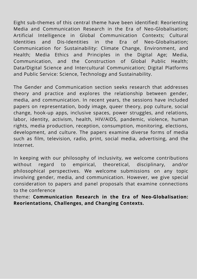Eight sub-themes of this central theme have been identified: Reorienting Media and Communication Research in the Era of Neo-Globalisation; Artificial Intelligence in Global Communication Contexts; Cultural Identities and Dis-Identities in the Era of Neo-Globalisation; Communication for Sustainability: Climate Change, Environment, and Health; Media Ethics and Principles in the Digital Age; Media, Communication, and the Construction of Global Public Health; Data/Digital Science and Intercultural Communication; Digital Platforms and Public Service: Science, Technology and Sustainability.

The Gender and Communication section seeks research that addresses theory and practice and explores the relationship between gender, media, and communication. In recent years, the sessions have included papers on representation, body image, queer theory, pop culture, social change, hook-up apps, inclusive spaces, power struggles, and relations, labor, identity, activism, health, HIV/AIDS, pandemic, violence, human rights, media production, reception, consumption, monitoring, elections, development, and culture. The papers examine diverse forms of media such as film, television, radio, print, social media, advertising, and the Internet.

In keeping with our philosophy of inclusivity, we welcome contributions without regard to empirical, theoretical, disciplinary, and/or philosophical perspectives. We welcome submissions on any topic involving gender, media, and communication. However, we give special consideration to papers and panel proposals that examine connections to the conference

theme: **Communication Research in the Era of Neo-Globalisation: Reorientations, Challenges, and Changing Contexts.**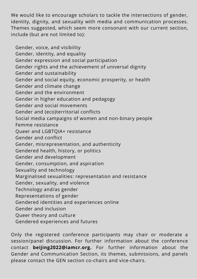We would like to encourage scholars to tackle the intersections of gender, identity, dignity, and sexuality with media and communication processes. Themes suggested, which seem more consonant with our current section, include (but are not limited to):

 Gender, voice, and visibility Gender, identity, and equality Gender expression and social participation Gender rights and the achievement of universal dignity Gender and sustainability Gender and social equity, economic prosperity, or health Gender and climate change Gender and the environment Gender in higher education and pedagogy Gender and social movements Gender and (eco)territorial conflicts Social media campaigns of women and non-binary people Femme resistance Queer and LGBTQIA+ resistance Gender and conflict Gender, misrepresentation, and authenticity Gendered health, history, or politics Gender and development Gender, consumption, and aspiration Sexuality and technology Marginalised sexualities: representation and resistance Gender, sexuality, and violence Technology and/as gender Representations of gender Gendered identities and experiences online Gender and inclusion Queer theory and culture Gendered experiences and futures

Only the registered conference participants may chair or moderate a session/panel discussion. For further information about the conference contact **beijing2022@iamcr.org.** For further information about the Gender and Communication Section, its themes, submissions, and panels please contact the GEN section co-chairs and vice-chairs.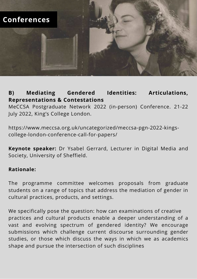

# **B) Mediating Gendered Identities: Articulations, Representations & Contestations**

MeCCSA Postgraduate Network 2022 (in-person) Conference. 21-22 July 2022, King's College London.

[https://www.meccsa.org.uk/uncategorized/meccsa-pgn-2022-kings](https://www.meccsa.org.uk/uncategorized/meccsa-pgn-2022-kings-college-london-conference-call-for-papers/)college-london-conference-call-for-papers/

**Keynote speaker:** Dr Ysabel Gerrard, Lecturer in Digital Media and Society, University of Sheffield.

#### **Rationale:**

The programme committee welcomes proposals from graduate students on a range of topics that address the mediation of gender in cultural practices, products, and settings.

We specifically pose the question: how can examinations of creative practices and cultural products enable a deeper understanding of a vast and evolving spectrum of gendered identity? We encourage submissions which challenge current discourse surrounding gender studies, or those which discuss the ways in which we as academics shape and pursue the intersection of such disciplines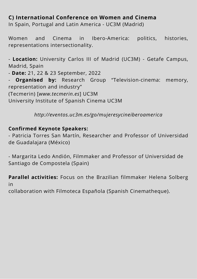# **C) International Conference on Women and Cinema**

In Spain, Portugal and Latin America - UC3M (Madrid)

Women and Cinema in Ibero-America: politics, histories, representations intersectionality.

- **Location:** University Carlos III of Madrid (UC3M) - Getafe Campus, Madrid, Spain

- **Date:** 21, 22 & 23 September, 2022

**Organised by:** Research Group "Television-cinema: memory, representation and industry" (Tecmerin) [*[www.tecmerin.es](http://www.tecmerin.es/)*] UC3M

University Institute of Spanish Cinema UC3M

*<http://eventos.uc3m.es/go/mujeresycineiberoamerica>*

#### **Confirmed Keynote Speakers:**

- Patricia Torres San Martín, Researcher and Professor of Universidad de Guadalajara (México)

- Margarita Ledo Andión, Filmmaker and Professor of Universidad de Santiago de Compostela (Spain)

**Parallel activities:** Focus on the Brazilian filmmaker Helena Solberg in

collaboration with Filmoteca Española (Spanish Cinematheque).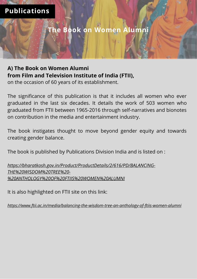**The Book on Women Alumni**

# **A) The Book on Women Alumni from Film and Television Institute of India (FTII),**

on the occasion of 60 years of its establishment.

The significance of this publication is that it includes all women who ever graduated in the last six decades. It details the work of 503 women who graduated from FTII between 1965-2016 through self-narratives and bionotes on contribution in the media and entertainment industry.

The book instigates thought to move beyond gender equity and towards creating gender balance.

The book is published by Publications Division India and is listed on :

*https://bharatkosh.gov.in/Product/ProductDetails/2/616/PD/BALANCING-THE%20WISDOM%20TREE%20- %20ANTHOLOGY%20OF%20FTIIS%20WOMEN%20ALUMNI*

It is also highlighted on FTII site on this link:

*https://www.ftii.ac.in/media/balancing-the-wisdom-tree-an-anthology-of-ftiis-women-alumni*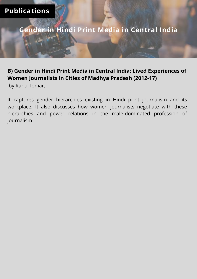**Gender in Hindi Print Media in Central India**

# **B) Gender in Hindi Print Media in Central India: Lived Experiences of Women Journalists in Cities of Madhya Pradesh (2012-17)**

by Ranu Tomar.

It captures gender hierarchies existing in Hindi print journalism and its workplace. It also discusses how women journalists negotiate with these hierarchies and power relations in the male-dominated profession of journalism.